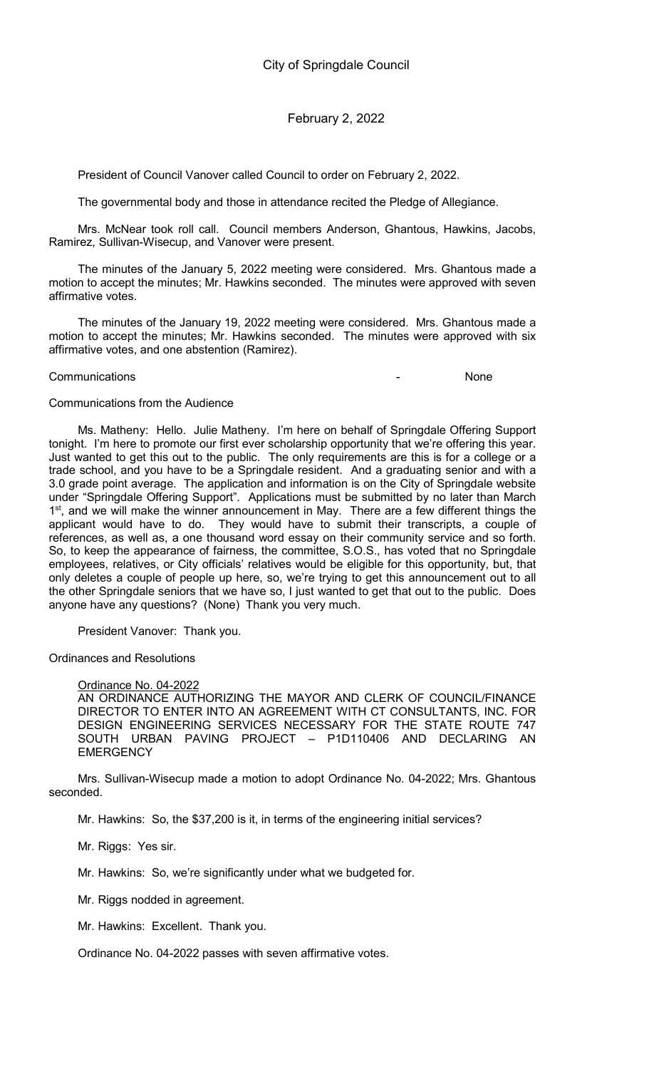President of Council Vanover called Council to order on February 2, 2022.

The governmental body and those in attendance recited the Pledge of Allegiance.

Mrs. McNear took roll call. Council members Anderson, Ghantous, Hawkins, Jacobs, Ramirez, Sullivan-Wisecup, and Vanover were present.

The minutes of the January 5, 2022 meeting were considered. Mrs. Ghantous made a motion to accept the minutes; Mr. Hawkins seconded. The minutes were approved with seven affirmative votes.

The minutes of the January 19, 2022 meeting were considered. Mrs. Ghantous made a motion to accept the minutes; Mr. Hawkins seconded. The minutes were approved with six affirmative votes, and one abstention (Ramirez).

### Communications - None

#### Communications from the Audience

Ms. Matheny: Hello. Julie Matheny. I'm here on behalf of Springdale Offering Support tonight. I'm here to promote our first ever scholarship opportunity that we're offering this year. Just wanted to get this out to the public. The only requirements are this is for a college or a trade school, and you have to be a Springdale resident. And a graduating senior and with a 3.0 grade point average. The application and information is on the City of Springdale website under "Springdale Offering Support". Applications must be submitted by no later than March 1<sup>st</sup>, and we will make the winner announcement in May. There are a few different things the applicant would have to do. They would have to submit their transcripts, a couple of references, as well as, a one thousand word essay on their community service and so forth. So, to keep the appearance of fairness, the committee, S.O.S., has voted that no Springdale employees, relatives, or City officials' relatives would be eligible for this opportunity, but, that only deletes a couple of people up here, so, we're trying to get this announcement out to all the other Springdale seniors that we have so, I just wanted to get that out to the public. Does anyone have any questions? (None) Thank you very much.

President Vanover: Thank you.

Ordinances and Resolutions

# Ordinance No. 04-2022

AN ORDINANCE AUTHORIZING THE MAYOR AND CLERK OF COUNCIL/FINANCE DIRECTOR TO ENTER INTO AN AGREEMENT WITH CT CONSULTANTS, INC. FOR DESIGN ENGINEERING SERVICES NECESSARY FOR THE STATE ROUTE 747 SOUTH URBAN PAVING PROJECT – P1D110406 AND DECLARING AN **EMERGENCY** 

Mrs. Sullivan-Wisecup made a motion to adopt Ordinance No. 04-2022; Mrs. Ghantous seconded.

Mr. Hawkins: So, the \$37,200 is it, in terms of the engineering initial services?

Mr. Riggs: Yes sir.

Mr. Hawkins: So, we're significantly under what we budgeted for.

Mr. Riggs nodded in agreement.

Mr. Hawkins: Excellent. Thank you.

Ordinance No. 04-2022 passes with seven affirmative votes.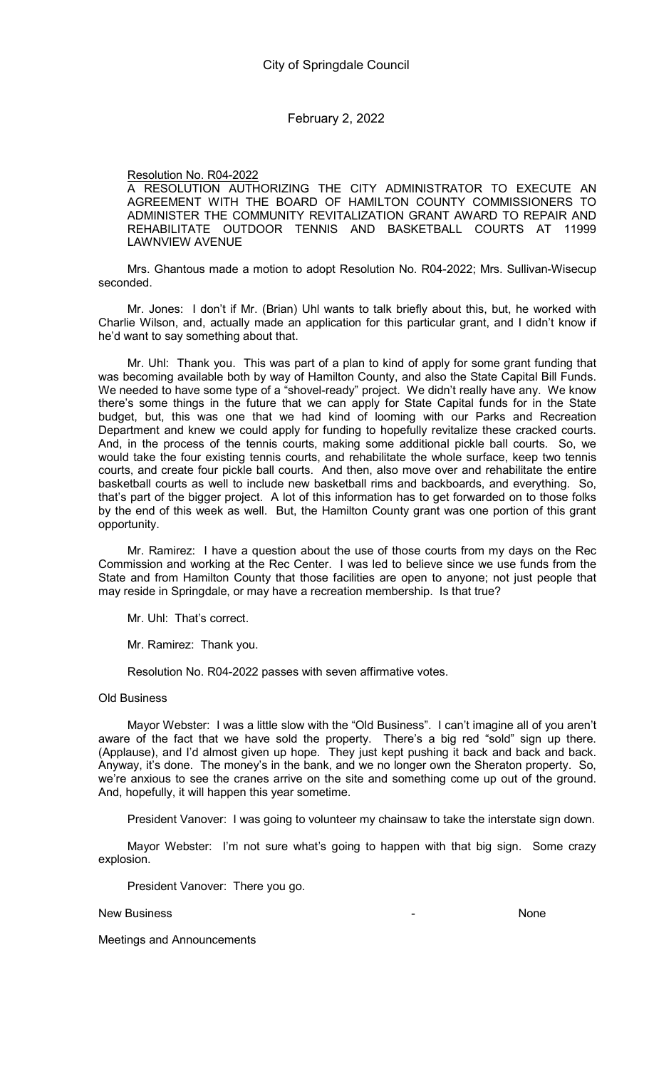Resolution No. R04-2022

A RESOLUTION AUTHORIZING THE CITY ADMINISTRATOR TO EXECUTE AN AGREEMENT WITH THE BOARD OF HAMILTON COUNTY COMMISSIONERS TO ADMINISTER THE COMMUNITY REVITALIZATION GRANT AWARD TO REPAIR AND REHABILITATE OUTDOOR TENNIS AND BASKETBALL COURTS AT 11999 LAWNVIEW AVENUE

Mrs. Ghantous made a motion to adopt Resolution No. R04-2022; Mrs. Sullivan-Wisecup seconded.

Mr. Jones: I don't if Mr. (Brian) Uhl wants to talk briefly about this, but, he worked with Charlie Wilson, and, actually made an application for this particular grant, and I didn't know if he'd want to say something about that.

Mr. Uhl: Thank you. This was part of a plan to kind of apply for some grant funding that was becoming available both by way of Hamilton County, and also the State Capital Bill Funds. We needed to have some type of a "shovel-ready" project. We didn't really have any. We know there's some things in the future that we can apply for State Capital funds for in the State budget, but, this was one that we had kind of looming with our Parks and Recreation Department and knew we could apply for funding to hopefully revitalize these cracked courts. And, in the process of the tennis courts, making some additional pickle ball courts. So, we would take the four existing tennis courts, and rehabilitate the whole surface, keep two tennis courts, and create four pickle ball courts. And then, also move over and rehabilitate the entire basketball courts as well to include new basketball rims and backboards, and everything. So, that's part of the bigger project. A lot of this information has to get forwarded on to those folks by the end of this week as well. But, the Hamilton County grant was one portion of this grant opportunity.

Mr. Ramirez: I have a question about the use of those courts from my days on the Rec Commission and working at the Rec Center. I was led to believe since we use funds from the State and from Hamilton County that those facilities are open to anyone; not just people that may reside in Springdale, or may have a recreation membership. Is that true?

Mr. Uhl: That's correct.

Mr. Ramirez: Thank you.

Resolution No. R04-2022 passes with seven affirmative votes.

### Old Business

Mayor Webster: I was a little slow with the "Old Business". I can't imagine all of you aren't aware of the fact that we have sold the property. There's a big red "sold" sign up there. (Applause), and I'd almost given up hope. They just kept pushing it back and back and back. Anyway, it's done. The money's in the bank, and we no longer own the Sheraton property. So, we're anxious to see the cranes arrive on the site and something come up out of the ground. And, hopefully, it will happen this year sometime.

President Vanover: I was going to volunteer my chainsaw to take the interstate sign down.

Mayor Webster: I'm not sure what's going to happen with that big sign. Some crazy explosion.

President Vanover: There you go.

New Business **None** None is a set of the set of the set of the set of the set of the set of the set of the set of the set of the set of the set of the set of the set of the set of the set of the set of the set of the set o

Meetings and Announcements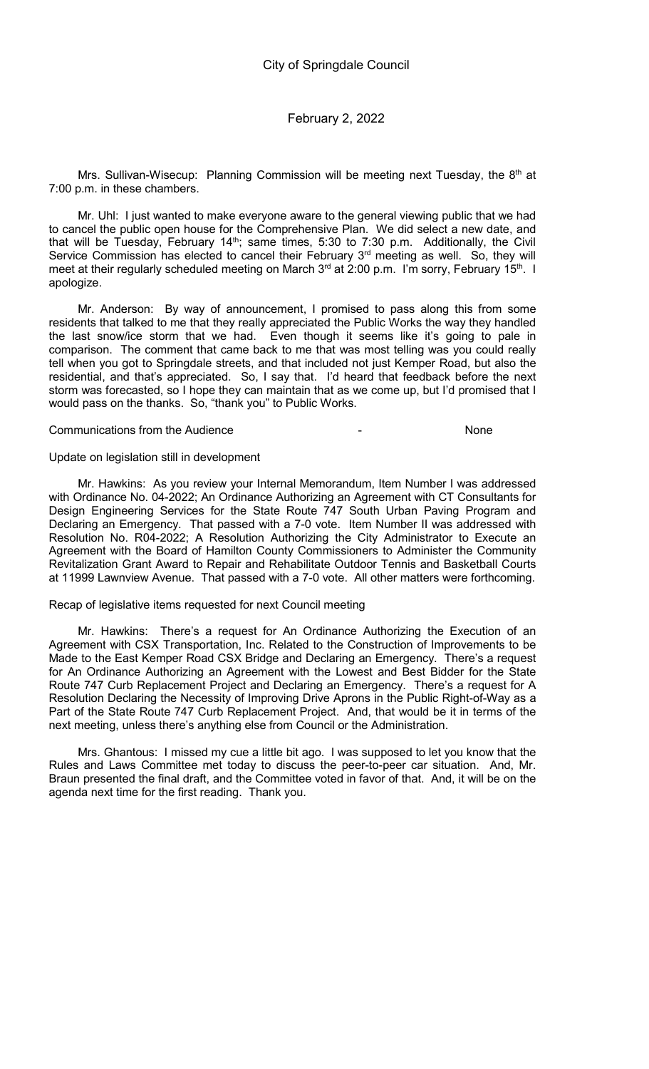Mrs. Sullivan-Wisecup: Planning Commission will be meeting next Tuesday, the 8<sup>th</sup> at 7:00 p.m. in these chambers.

Mr. Uhl: I just wanted to make everyone aware to the general viewing public that we had to cancel the public open house for the Comprehensive Plan. We did select a new date, and that will be Tuesday, February 14<sup>th</sup>; same times, 5:30 to 7:30 p.m. Additionally, the Civil Service Commission has elected to cancel their February 3<sup>rd</sup> meeting as well. So, they will meet at their regularly scheduled meeting on March 3<sup>rd</sup> at 2:00 p.m. I'm sorry, February 15<sup>th</sup>. I apologize.

Mr. Anderson: By way of announcement, I promised to pass along this from some residents that talked to me that they really appreciated the Public Works the way they handled the last snow/ice storm that we had. Even though it seems like it's going to pale in comparison. The comment that came back to me that was most telling was you could really tell when you got to Springdale streets, and that included not just Kemper Road, but also the residential, and that's appreciated. So, I say that. I'd heard that feedback before the next storm was forecasted, so I hope they can maintain that as we come up, but I'd promised that I would pass on the thanks. So, "thank you" to Public Works.

Communications from the Audience - None

### Update on legislation still in development

Mr. Hawkins: As you review your Internal Memorandum, Item Number I was addressed with Ordinance No. 04-2022; An Ordinance Authorizing an Agreement with CT Consultants for Design Engineering Services for the State Route 747 South Urban Paving Program and Declaring an Emergency. That passed with a 7-0 vote. Item Number II was addressed with Resolution No. R04-2022; A Resolution Authorizing the City Administrator to Execute an Agreement with the Board of Hamilton County Commissioners to Administer the Community Revitalization Grant Award to Repair and Rehabilitate Outdoor Tennis and Basketball Courts at 11999 Lawnview Avenue. That passed with a 7-0 vote. All other matters were forthcoming.

Recap of legislative items requested for next Council meeting

Mr. Hawkins: There's a request for An Ordinance Authorizing the Execution of an Agreement with CSX Transportation, Inc. Related to the Construction of Improvements to be Made to the East Kemper Road CSX Bridge and Declaring an Emergency. There's a request for An Ordinance Authorizing an Agreement with the Lowest and Best Bidder for the State Route 747 Curb Replacement Project and Declaring an Emergency. There's a request for A Resolution Declaring the Necessity of Improving Drive Aprons in the Public Right-of-Way as a Part of the State Route 747 Curb Replacement Project. And, that would be it in terms of the next meeting, unless there's anything else from Council or the Administration.

Mrs. Ghantous: I missed my cue a little bit ago. I was supposed to let you know that the Rules and Laws Committee met today to discuss the peer-to-peer car situation. And, Mr. Braun presented the final draft, and the Committee voted in favor of that. And, it will be on the agenda next time for the first reading. Thank you.